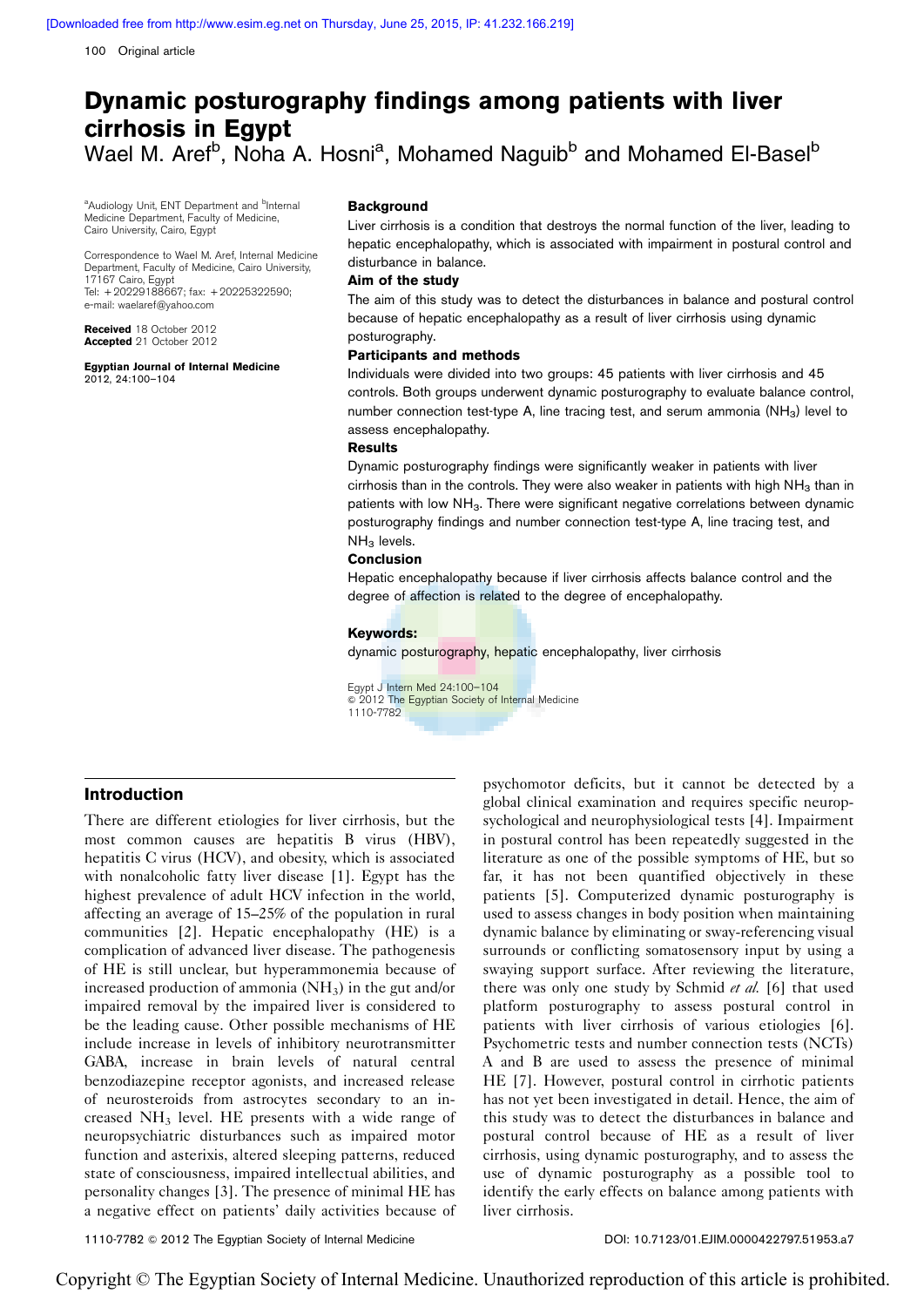100 Original article

# Dynamic posturography findings among patients with liver cirrhosis in Egypt Wael M. Aref<sup>b</sup>, Noha A. Hosni<sup>a</sup>, Mohamed Naguib<sup>b</sup> and Mohamed El-Basel<sup>b</sup>

<sup>a</sup>Audiology Unit, ENT Department and <sup>b</sup>Internal Medicine Department, Faculty of Medicine, Cairo University, Cairo, Egypt

Correspondence to Wael M. Aref, Internal Medicine Department, Faculty of Medicine, Cairo University, 17167 Cairo, Egypt Tel: + 20229188667; fax: + 20225322590; e-mail: [waelaref@yahoo.com](mailto:waelaref@yahoo.com)

Received 18 October 2012 Accepted 21 October 2012

Egyptian Journal of Internal Medicine 2012, 24:100–104

## Background

Liver cirrhosis is a condition that destroys the normal function of the liver, leading to hepatic encephalopathy, which is associated with impairment in postural control and disturbance in balance.

## Aim of the study

The aim of this study was to detect the disturbances in balance and postural control because of hepatic encephalopathy as a result of liver cirrhosis using dynamic posturography.

#### Participants and methods

Individuals were divided into two groups: 45 patients with liver cirrhosis and 45 controls. Both groups underwent dynamic posturography to evaluate balance control, number connection test-type A, line tracing test, and serum ammonia  $(NH_3)$  level to assess encephalopathy.

## **Results**

Dynamic posturography findings were significantly weaker in patients with liver cirrhosis than in the controls. They were also weaker in patients with high  $NH<sub>3</sub>$  than in patients with low NH<sub>3</sub>. There were significant negative correlations between dynamic posturography findings and number connection test-type A, line tracing test, and  $NH<sub>3</sub>$  levels.

#### Conclusion

Hepatic encephalopathy because if liver cirrhosis affects balance control and the degree of affection is related to the degree of encephalopathy.

#### Keywords:

dynamic posturography, hepatic encephalopathy, liver cirrhosis

Egypt J Intern Med 24:100–104  $\circ$  2012 The Egyptian Society of Internal Medicine 1110-7782

## Introduction

There are different etiologies for liver cirrhosis, but the most common causes are hepatitis B virus (HBV), hepatitis C virus (HCV), and obesity, which is associated with nonalcoholic fatty liver disease [\[1](#page-4-0)]. Egypt has the highest prevalence of adult HCV infection in the world, affecting an average of 15–25% of the population in rural communities [\[2\]](#page-4-0). Hepatic encephalopathy (HE) is a complication of advanced liver disease. The pathogenesis of HE is still unclear, but hyperammonemia because of increased production of ammonia  $(NH_3)$  in the gut and/or impaired removal by the impaired liver is considered to be the leading cause. Other possible mechanisms of HE include increase in levels of inhibitory neurotransmitter GABA, increase in brain levels of natural central benzodiazepine receptor agonists, and increased release of neurosteroids from astrocytes secondary to an increased NH3 level. HE presents with a wide range of neuropsychiatric disturbances such as impaired motor function and asterixis, altered sleeping patterns, reduced state of consciousness, impaired intellectual abilities, and personality changes [\[3\]](#page-4-0). The presence of minimal HE has a negative effect on patients' daily activities because of psychomotor deficits, but it cannot be detected by a global clinical examination and requires specific neuropsychological and neurophysiological tests [\[4\]](#page-4-0). Impairment in postural control has been repeatedly suggested in the literature as one of the possible symptoms of HE, but so far, it has not been quantified objectively in these patients [\[5](#page-4-0)]. Computerized dynamic posturography is used to assess changes in body position when maintaining dynamic balance by eliminating or sway-referencing visual surrounds or conflicting somatosensory input by using a swaying support surface. After reviewing the literature, there was only one study by Schmid et al. [\[6\]](#page-4-0) that used platform posturography to assess postural control in patients with liver cirrhosis of various etiologies [\[6\]](#page-4-0). Psychometric tests and number connection tests (NCTs) A and B are used to assess the presence of minimal HE [\[7](#page-4-0)]. However, postural control in cirrhotic patients has not yet been investigated in detail. Hence, the aim of this study was to detect the disturbances in balance and postural control because of HE as a result of liver cirrhosis, using dynamic posturography, and to assess the use of dynamic posturography as a possible tool to identify the early effects on balance among patients with liver cirrhosis.

1110-7782 © 2012 The Egyptian Society of Internal Medicine DOI: 10.7123/01.EJIM.0000422797.51953.a7

Copyright © The Egyptian Society of Internal Medicine. Unauthorized reproduction of this article is prohibited.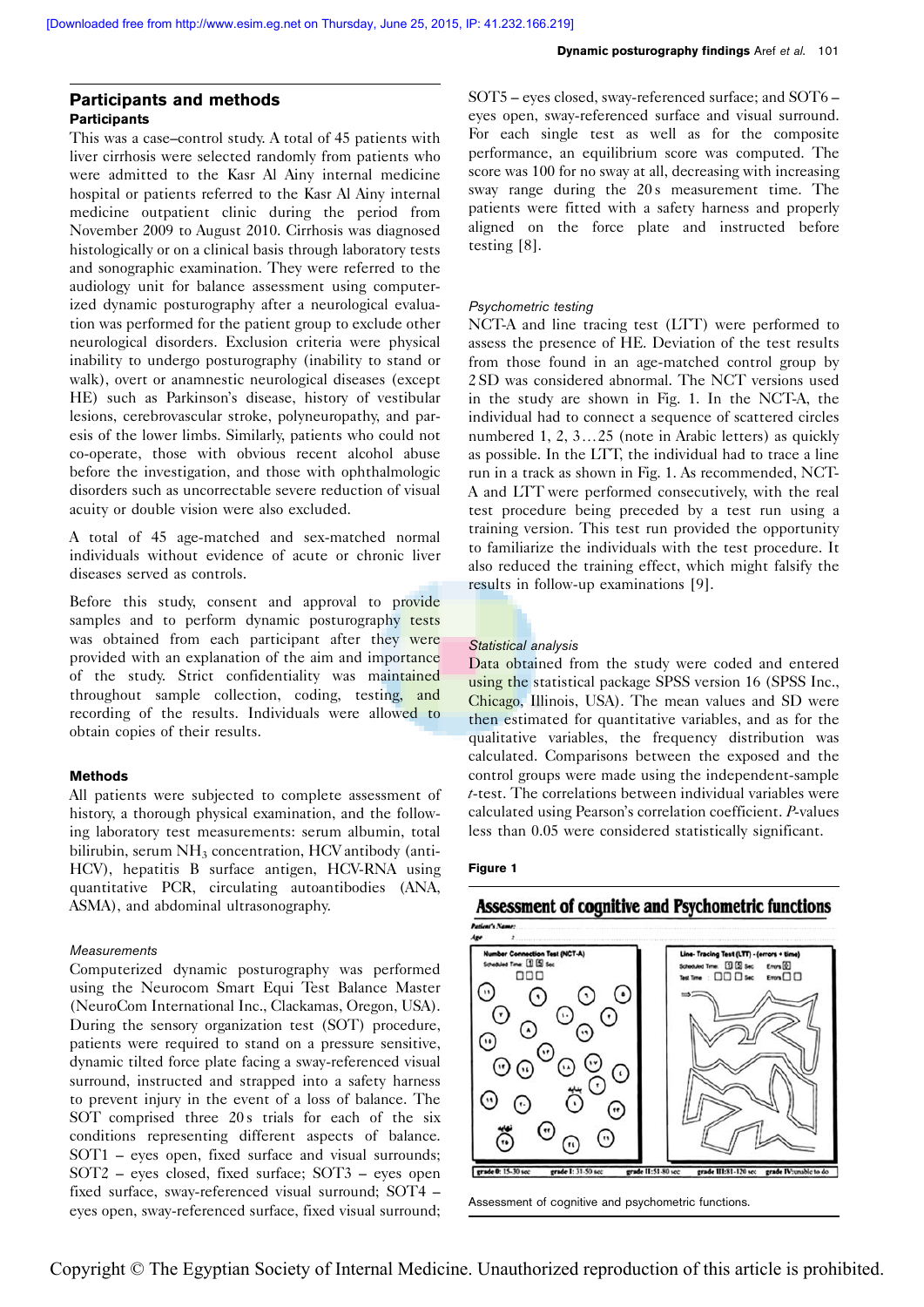# Participants and methods **Participants**

This was a case–control study. A total of 45 patients with liver cirrhosis were selected randomly from patients who were admitted to the Kasr Al Ainy internal medicine hospital or patients referred to the Kasr Al Ainy internal medicine outpatient clinic during the period from November 2009 to August 2010. Cirrhosis was diagnosed histologically or on a clinical basis through laboratory tests and sonographic examination. They were referred to the audiology unit for balance assessment using computerized dynamic posturography after a neurological evaluation was performed for the patient group to exclude other neurological disorders. Exclusion criteria were physical inability to undergo posturography (inability to stand or walk), overt or anamnestic neurological diseases (except HE) such as Parkinson's disease, history of vestibular lesions, cerebrovascular stroke, polyneuropathy, and paresis of the lower limbs. Similarly, patients who could not co-operate, those with obvious recent alcohol abuse before the investigation, and those with ophthalmologic disorders such as uncorrectable severe reduction of visual acuity or double vision were also excluded.

A total of 45 age-matched and sex-matched normal individuals without evidence of acute or chronic liver diseases served as controls.

Before this study, consent and approval to provide samples and to perform dynamic posturography tests was obtained from each participant after they were provided with an explanation of the aim and importance of the study. Strict confidentiality was maintained throughout sample collection, coding, testing, and recording of the results. Individuals were allowed to obtain copies of their results.

## Methods

All patients were subjected to complete assessment of history, a thorough physical examination, and the following laboratory test measurements: serum albumin, total bilirubin, serum  $NH<sub>3</sub>$  concentration, HCV antibody (anti-HCV), hepatitis B surface antigen, HCV-RNA using quantitative PCR, circulating autoantibodies (ANA, ASMA), and abdominal ultrasonography.

## Measurements

Computerized dynamic posturography was performed using the Neurocom Smart Equi Test Balance Master (NeuroCom International Inc., Clackamas, Oregon, USA). During the sensory organization test (SOT) procedure, patients were required to stand on a pressure sensitive, dynamic tilted force plate facing a sway-referenced visual surround, instructed and strapped into a safety harness to prevent injury in the event of a loss of balance. The SOT comprised three 20s trials for each of the six conditions representing different aspects of balance. SOT1 – eyes open, fixed surface and visual surrounds; SOT2 – eyes closed, fixed surface; SOT3 – eyes open fixed surface, sway-referenced visual surround; SOT4 – eyes open, sway-referenced surface, fixed visual surround; SOT5 – eyes closed, sway-referenced surface; and SOT6 – eyes open, sway-referenced surface and visual surround. For each single test as well as for the composite performance, an equilibrium score was computed. The score was 100 for no sway at all, decreasing with increasing sway range during the 20s measurement time. The patients were fitted with a safety harness and properly aligned on the force plate and instructed before testing [\[8\]](#page-4-0).

## Psychometric testing

NCT-A and line tracing test (LTT) were performed to assess the presence of HE. Deviation of the test results from those found in an age-matched control group by 2 SD was considered abnormal. The NCT versions used in the study are shown in Fig. 1. In the NCT-A, the individual had to connect a sequence of scattered circles numbered 1, 2,  $3...25$  (note in Arabic letters) as quickly as possible. In the LTT, the individual had to trace a line run in a track as shown in Fig. 1. As recommended, NCT-A and LTT were performed consecutively, with the real test procedure being preceded by a test run using a training version. This test run provided the opportunity to familiarize the individuals with the test procedure. It also reduced the training effect, which might falsify the results in follow-up examinations [\[9\]](#page-4-0).

# Statistical analysis

Data obtained from the study were coded and entered using the statistical package SPSS version 16 (SPSS Inc., Chicago, Illinois, USA). The mean values and SD were then estimated for quantitative variables, and as for the qualitative variables, the frequency distribution was calculated. Comparisons between the exposed and the control groups were made using the independent-sample t-test. The correlations between individual variables were calculated using Pearson's correlation coefficient. P-values less than 0.05 were considered statistically significant.

#### Figure 1

# Assessment of cognitive and Psychometric functions



Assessment of cognitive and psychometric functions.

Copyright © The Egyptian Society of Internal Medicine. Unauthorized reproduction of this article is prohibited.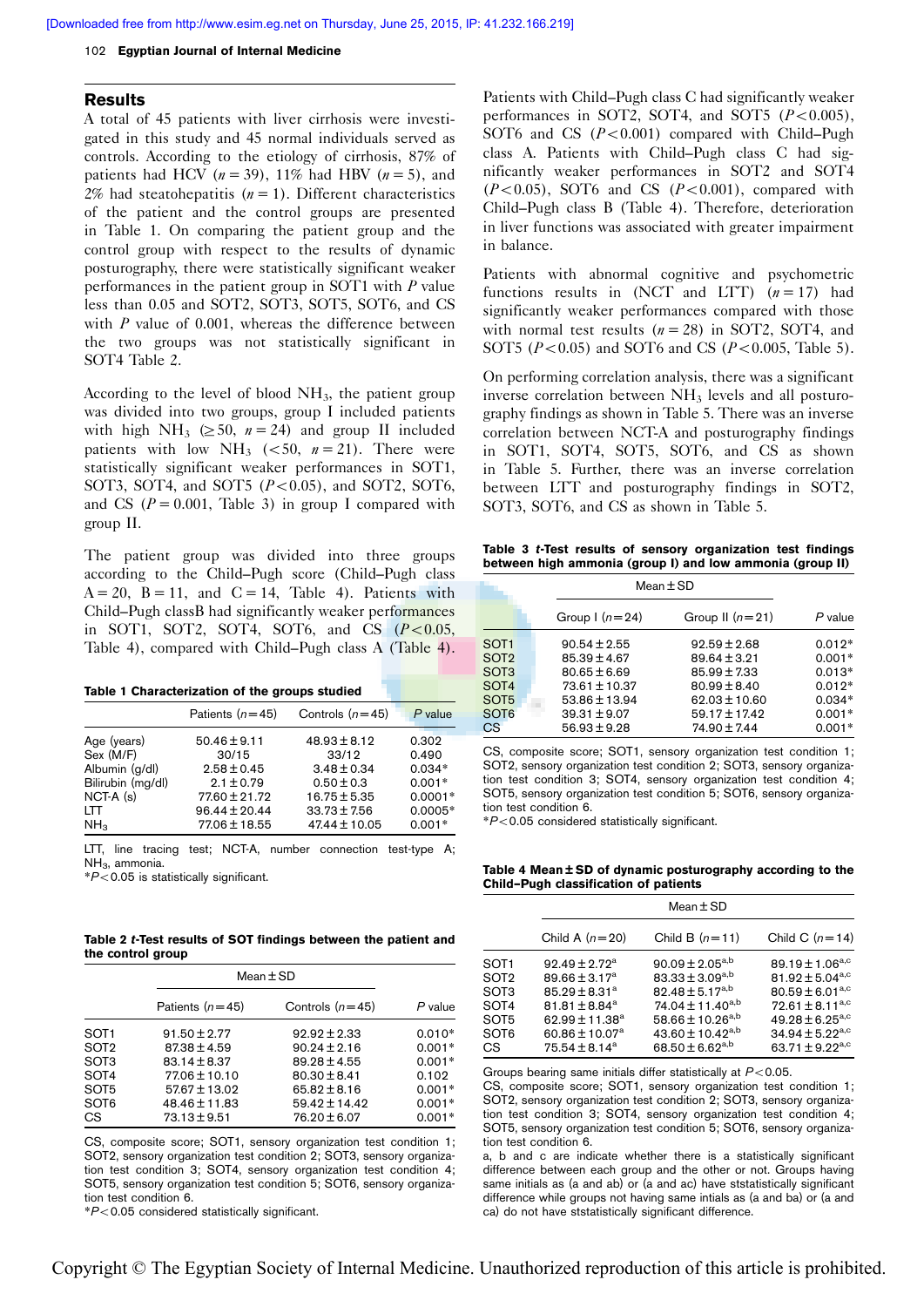#### <span id="page-2-0"></span>102 Egyptian Journal of Internal Medicine

#### Results

A total of 45 patients with liver cirrhosis were investigated in this study and 45 normal individuals served as controls. According to the etiology of cirrhosis, 87% of patients had HCV ( $n = 39$ ), 11% had HBV ( $n = 5$ ), and 2% had steatohepatitis  $(n = 1)$ . Different characteristics of the patient and the control groups are presented in Table 1. On comparing the patient group and the control group with respect to the results of dynamic posturography, there were statistically significant weaker performances in the patient group in SOT1 with  $P$  value less than 0.05 and SOT2, SOT3, SOT5, SOT6, and CS with  $P$  value of 0.001, whereas the difference between the two groups was not statistically significant in SOT4 Table 2.

According to the level of blood  $NH<sub>3</sub>$ , the patient group was divided into two groups, group I included patients with high NH<sub>3</sub> ( $\geq$  50,  $n = 24$ ) and group II included patients with low NH<sub>3</sub> (<50,  $n = 21$ ). There were statistically significant weaker performances in SOT1, SOT3, SOT4, and SOT5  $(P<0.05)$ , and SOT2, SOT6, and CS ( $P = 0.001$ , Table 3) in group I compared with group II.

The patient group was divided into three groups according to the Child–Pugh score (Child–Pugh class  $A = 20$ ,  $B = 11$ , and  $C = 14$ , Table 4). Patients with Child–Pugh classB had significantly weaker performances in SOT1, SOT2, SOT4, SOT6, and CS  $(P<0.05$ , Table 4), compared with Child–Pugh class A (Table 4).

|  | Table 1 Characterization of the groups studied |  |  |  |
|--|------------------------------------------------|--|--|--|
|--|------------------------------------------------|--|--|--|

|                   | Patients $(n=45)$ | Controls $(n=45)$ | $P$ value |
|-------------------|-------------------|-------------------|-----------|
| Age (years)       | $50.46 \pm 9.11$  | $48.93 \pm 8.12$  | 0.302     |
| Sex (M/F)         | 30/15             | 33/12             | 0.490     |
| Albumin (g/dl)    | $2.58 \pm 0.45$   | $3.48 \pm 0.34$   | $0.034*$  |
| Bilirubin (mg/dl) | $2.1 \pm 0.79$    | $0.50 \pm 0.3$    | $0.001*$  |
| $NCT-A(s)$        | $77.60 \pm 21.72$ | $16.75 \pm 5.35$  | $0.0001*$ |
| LTT               | $96.44 \pm 20.44$ | $33.73 \pm 7.56$  | $0.0005*$ |
| NH <sub>3</sub>   | $77.06 \pm 18.55$ | $47.44 \pm 10.05$ | $0.001*$  |

LTT, line tracing test; NCT-A, number connection test-type A; NH<sub>2</sub>, ammonia.

 $*P<0.05$  is statistically significant.

Table 2 t-Test results of SOT findings between the patient and the control group

|                  | $Mean \pm SD$     |                   |           |
|------------------|-------------------|-------------------|-----------|
|                  | Patients $(n=45)$ | Controls $(n=45)$ | $P$ value |
| SOT <sub>1</sub> | $91.50 \pm 2.77$  | $92.92 \pm 2.33$  | $0.010*$  |
| SOT <sub>2</sub> | $87.38 \pm 4.59$  | $90.24 \pm 2.16$  | $0.001*$  |
| SOT <sub>3</sub> | $83.14 \pm 8.37$  | $89.28 \pm 4.55$  | $0.001*$  |
| SOT <sub>4</sub> | $77.06 \pm 10.10$ | $80.30 \pm 8.41$  | 0.102     |
| SOT <sub>5</sub> | $57.67 \pm 13.02$ | $65.82 \pm 8.16$  | $0.001*$  |
| SOT <sub>6</sub> | 48.46 ± 11.83     | $59.42 \pm 14.42$ | $0.001*$  |
| CS.              | $73.13 \pm 9.51$  | $76.20 \pm 6.07$  | $0.001*$  |

CS, composite score; SOT1, sensory organization test condition 1; SOT2, sensory organization test condition 2; SOT3, sensory organization test condition 3; SOT4, sensory organization test condition 4; SOT5, sensory organization test condition 5; SOT6, sensory organization test condition 6.

 $*P<$  0.05 considered statistically significant.

Patients with Child–Pugh class C had significantly weaker performances in SOT2, SOT4, and SOT5  $(P<0.005)$ , SOT6 and CS  $(P<0.001)$  compared with Child–Pugh class A. Patients with Child–Pugh class C had significantly weaker performances in SOT2 and SOT4  $(P<0.05)$ , SOT6 and CS  $(P<0.001)$ , compared with Child–Pugh class B (Table 4). Therefore, deterioration in liver functions was associated with greater impairment in balance.

Patients with abnormal cognitive and psychometric functions results in (NCT and LTT)  $(n = 17)$  had significantly weaker performances compared with those with normal test results  $(n = 28)$  in SOT2, SOT4, and SOT5 ( $P < 0.05$ ) and SOT6 and CS ( $P < 0.005$ , [Table 5\)](#page-3-0).

On performing correlation analysis, there was a significant inverse correlation between  $NH<sub>3</sub>$  levels and all posturography findings as shown in [Table 5.](#page-3-0) There was an inverse correlation between NCT-A and posturography findings in SOT1, SOT4, SOT5, SOT6, and CS as shown in [Table 5](#page-3-0). Further, there was an inverse correlation between LTT and posturography findings in SOT2, SOT3, SOT6, and CS as shown in [Table 5.](#page-3-0)

Table 3 t-Test results of sensory organization test findings between high ammonia (group I) and low ammonia (group II)

|                   |                   | $Mean \pm SD$     |           |
|-------------------|-------------------|-------------------|-----------|
|                   | Group $(n=24)$    | Group II $(n=21)$ | $P$ value |
| SOT <sub>1</sub>  | $90.54 \pm 2.55$  | $92.59 \pm 2.68$  | $0.012*$  |
| SOT <sub>2</sub>  | $85.39 \pm 4.67$  | $89.64 \pm 3.21$  | $0.001*$  |
| SO <sub>T</sub> 3 | $80.65 \pm 6.69$  | $85.99 \pm 7.33$  | $0.013*$  |
| SOT <sub>4</sub>  | $73.61 \pm 10.37$ | $80.99 \pm 8.40$  | $0.012*$  |
| SOT <sub>5</sub>  | $53.86 \pm 13.94$ | $62.03 \pm 10.60$ | $0.034*$  |
| SOT <sub>6</sub>  | $39.31 \pm 9.07$  | $59.17 \pm 17.42$ | $0.001*$  |
| CS <sup>-</sup>   | $56.93 \pm 9.28$  | 74.90 ± 7.44      | $0.001*$  |

CS, composite score; SOT1, sensory organization test condition 1; SOT2, sensory organization test condition 2; SOT3, sensory organization test condition 3; SOT4, sensory organization test condition 4; SOT5, sensory organization test condition 5; SOT6, sensory organization test condition 6.

 $*P<$  0.05 considered statistically significant.

Table 4 Mean ± SD of dynamic posturography according to the Child–Pugh classification of patients

|                                                    | $Mean \pm SD$                                                                                                                                                                  |                                                                                                                                                                                                                         |                                                                                                                                                                                                           |  |
|----------------------------------------------------|--------------------------------------------------------------------------------------------------------------------------------------------------------------------------------|-------------------------------------------------------------------------------------------------------------------------------------------------------------------------------------------------------------------------|-----------------------------------------------------------------------------------------------------------------------------------------------------------------------------------------------------------|--|
|                                                    | Child A $(n=20)$                                                                                                                                                               | Child B $(n=11)$                                                                                                                                                                                                        | Child C $(n=14)$                                                                                                                                                                                          |  |
| SOT1<br>SOT2<br>SOT3<br>SOT4<br>SOT5<br>SOT6<br>СS | $92.49 \pm 2.72^a$<br>$89.66 \pm 3.17^a$<br>$85.29 \pm 8.31^a$<br>$81.81 \pm 8.84^a$<br>62.99 $\pm$ 11.38 <sup>a</sup><br>$60.86 \pm 10.07$ <sup>a</sup><br>$75.54 \pm 8.14^a$ | 90.09 $\pm$ 2.05 <sup>a,b</sup><br>83.33 ± 3.09 <sup>a,b</sup><br>82.48 ± 5.17 <sup>a,b</sup><br>$74.04 \pm 11.40^{a,b}$<br>58.66 ± 10.26 <sup>a,b</sup><br>43.60 ± 10.42 <sup>a,b</sup><br>68.50 ± 6.62 <sup>a,b</sup> | 89.19 $\pm$ 1.06 <sup>a,c</sup><br>81.92 ± 5.04 <sup>a,c</sup><br>$80.59 \pm 6.01^{a,c}$<br>$72.61 \pm 8.11^{a,c}$<br>$49.28 \pm 6.25^{a,c}$<br>$34.94 \pm 5.22^{a,c}$<br>63.71 $\pm$ 9.22 <sup>a,c</sup> |  |

Groups bearing same initials differ statistically at  $P < 0.05$ .

CS, composite score; SOT1, sensory organization test condition 1; SOT2, sensory organization test condition 2; SOT3, sensory organization test condition 3; SOT4, sensory organization test condition 4; SOT5, sensory organization test condition 5; SOT6, sensory organization test condition 6.

a, b and c are indicate whether there is a statistically significant difference between each group and the other or not. Groups having same initials as (a and ab) or (a and ac) have ststatistically significant difference while groups not having same intials as (a and ba) or (a and ca) do not have ststatistically significant difference.

Copyright © The Egyptian Society of Internal Medicine. Unauthorized reproduction of this article is prohibited.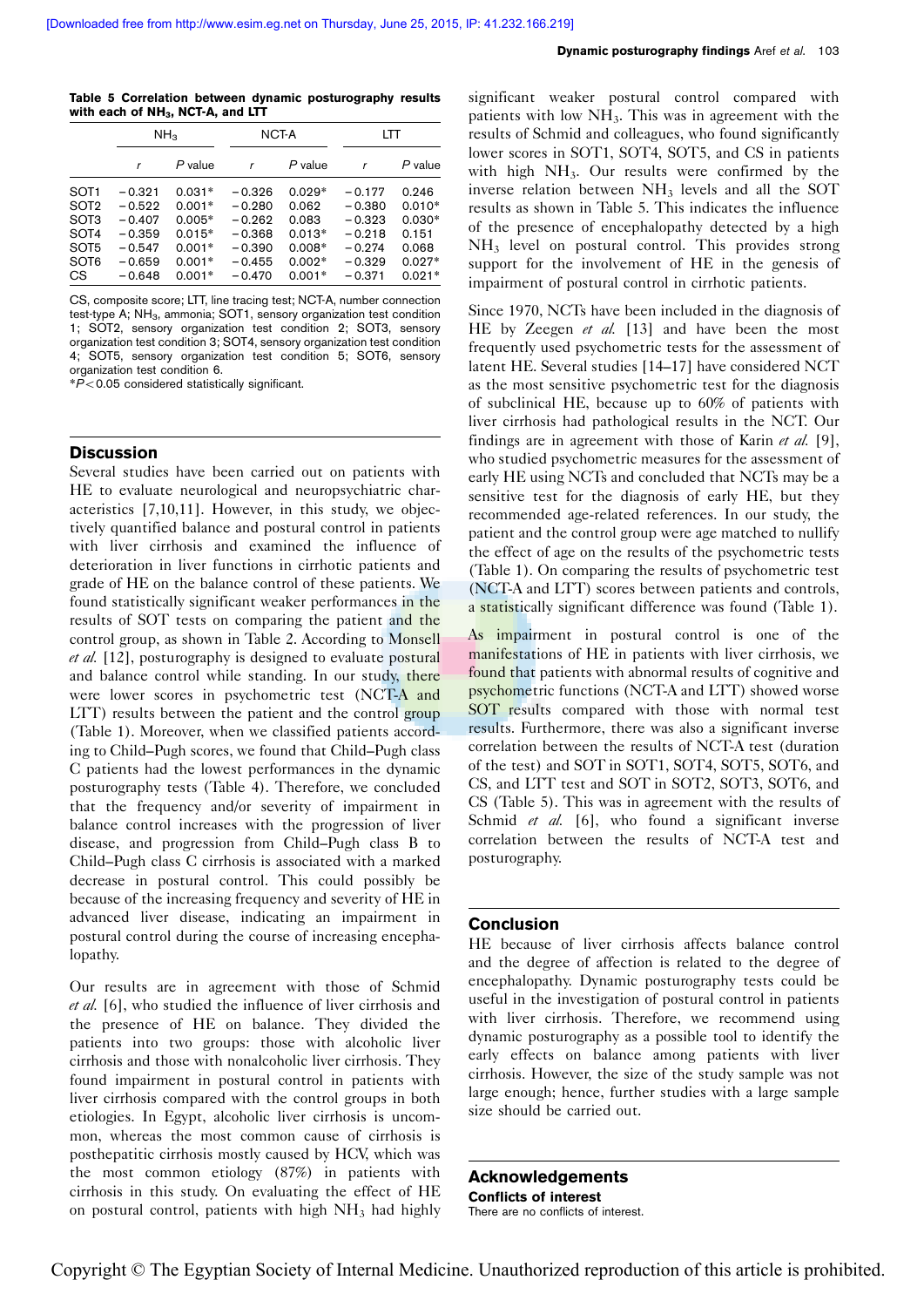<span id="page-3-0"></span>Table 5 Correlation between dynamic posturography results with each of  $NH<sub>3</sub>$ , NCT-A, and LTT

|                  | NH <sub>3</sub> |          | NCT-A    |           | LTT      |           |
|------------------|-----------------|----------|----------|-----------|----------|-----------|
|                  | r               | P value  |          | $P$ value |          | $P$ value |
| SOT <sub>1</sub> | $-0.321$        | $0.031*$ | $-0.326$ | $0.029*$  | $-0.177$ | 0.246     |
| SOT <sub>2</sub> | $-0.522$        | $0.001*$ | $-0.280$ | 0.062     | $-0.380$ | $0.010*$  |
| SOT <sub>3</sub> | $-0.407$        | $0.005*$ | $-0.262$ | 0.083     | $-0.323$ | $0.030*$  |
| SOT <sub>4</sub> | $-0.359$        | $0.015*$ | $-0.368$ | $0.013*$  | $-0.218$ | 0.151     |
| SOT <sub>5</sub> | $-0.547$        | $0.001*$ | $-0.390$ | $0.008*$  | $-0.274$ | 0.068     |
| SOT <sub>6</sub> | $-0.659$        | $0.001*$ | $-0.455$ | $0.002*$  | $-0.329$ | $0.027*$  |
| <b>CS</b>        | $-0.648$        | $0.001*$ | $-0.470$ | $0.001*$  | $-0.371$ | $0.021*$  |

CS, composite score; LTT, line tracing test; NCT-A, number connection test-type A; NH<sub>3</sub>, ammonia; SOT1, sensory organization test condition 1; SOT2, sensory organization test condition 2; SOT3, sensory organization test condition 3; SOT4, sensory organization test condition 4; SOT5, sensory organization test condition 5; SOT6, sensory organization test condition 6.

 $*P$ <0.05 considered statistically significant.

## **Discussion**

Several studies have been carried out on patients with HE to evaluate neurological and neuropsychiatric characteristics [\[7,10,11](#page-4-0)]. However, in this study, we objectively quantified balance and postural control in patients with liver cirrhosis and examined the influence of deterioration in liver functions in cirrhotic patients and grade of HE on the balance control of these patients. We found statistically significant weaker performances in the results of SOT tests on comparing the patient and the control group, as shown in [Table 2](#page-2-0). According to Monsell et al. [\[12](#page-4-0)], posturography is designed to evaluate postural and balance control while standing. In our study, there were lower scores in psychometric test (NCT-A and LTT) results between the patient and the control group ([Table 1](#page-2-0)). Moreover, when we classified patients according to Child–Pugh scores, we found that Child–Pugh class C patients had the lowest performances in the dynamic posturography tests [\(Table 4\)](#page-2-0). Therefore, we concluded that the frequency and/or severity of impairment in balance control increases with the progression of liver disease, and progression from Child–Pugh class B to Child–Pugh class C cirrhosis is associated with a marked decrease in postural control. This could possibly be because of the increasing frequency and severity of HE in advanced liver disease, indicating an impairment in postural control during the course of increasing encephalopathy.

Our results are in agreement with those of Schmid et al. [\[6](#page-4-0)], who studied the influence of liver cirrhosis and the presence of HE on balance. They divided the patients into two groups: those with alcoholic liver cirrhosis and those with nonalcoholic liver cirrhosis. They found impairment in postural control in patients with liver cirrhosis compared with the control groups in both etiologies. In Egypt, alcoholic liver cirrhosis is uncommon, whereas the most common cause of cirrhosis is posthepatitic cirrhosis mostly caused by HCV, which was the most common etiology (87%) in patients with cirrhosis in this study. On evaluating the effect of HE on postural control, patients with high  $NH<sub>3</sub>$  had highly

significant weaker postural control compared with patients with low  $NH<sub>3</sub>$ . This was in agreement with the results of Schmid and colleagues, who found significantly lower scores in SOT1, SOT4, SOT5, and CS in patients with high  $NH<sub>3</sub>$ . Our results were confirmed by the inverse relation between NH3 levels and all the SOT results as shown in Table 5. This indicates the influence of the presence of encephalopathy detected by a high NH3 level on postural control. This provides strong support for the involvement of HE in the genesis of impairment of postural control in cirrhotic patients.

Since 1970, NCTs have been included in the diagnosis of HE by Zeegen et al. [\[13](#page-4-0)] and have been the most frequently used psychometric tests for the assessment of latent HE. Several studies [\[14–17](#page-4-0)] have considered NCT as the most sensitive psychometric test for the diagnosis of subclinical HE, because up to 60% of patients with liver cirrhosis had pathological results in the NCT. Our findings are in agreement with those of Karin et al.  $[9]$  $[9]$ , who studied psychometric measures for the assessment of early HE using NCTs and concluded that NCTs may be a sensitive test for the diagnosis of early HE, but they recommended age-related references. In our study, the patient and the control group were age matched to nullify the effect of age on the results of the psychometric tests ([Table 1](#page-2-0)). On comparing the results of psychometric test (NCT-A and LTT) scores between patients and controls, a statistically significant difference was found ([Table 1](#page-2-0)).

As impairment in postural control is one of the manifestations of HE in patients with liver cirrhosis, we found that patients with abnormal results of cognitive and psychometric functions (NCT-A and LTT) showed worse SOT results compared with those with normal test results. Furthermore, there was also a significant inverse correlation between the results of NCT-A test (duration of the test) and SOT in SOT1, SOT4, SOT5, SOT6, and CS, and LTT test and SOT in SOT2, SOT3, SOT6, and CS (Table 5). This was in agreement with the results of Schmid et al. [\[6\]](#page-4-0), who found a significant inverse correlation between the results of NCT-A test and posturography.

## Conclusion

HE because of liver cirrhosis affects balance control and the degree of affection is related to the degree of encephalopathy. Dynamic posturography tests could be useful in the investigation of postural control in patients with liver cirrhosis. Therefore, we recommend using dynamic posturography as a possible tool to identify the early effects on balance among patients with liver cirrhosis. However, the size of the study sample was not large enough; hence, further studies with a large sample size should be carried out.

Acknowledgements Conflicts of interest There are no conflicts of interest.

Copyright © The Egyptian Society of Internal Medicine. Unauthorized reproduction of this article is prohibited.